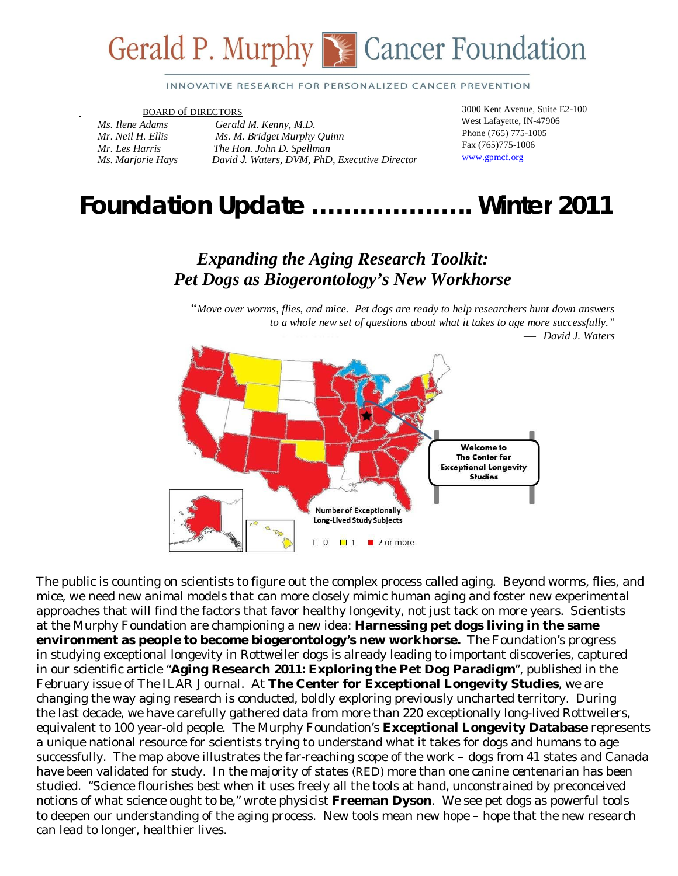

#### INNOVATIVE RESEARCH FOR PERSONALIZED CANCER PREVENTION

#### BOARD of DIRECTORS

*Ms. Ilene Adams Gerald M. Kenny, M.D. Mr. Neil H. Ellis Ms. M. Bridget Murphy Quinn Mr. Les Harris The Hon. John D. Spellman Ms. Marjorie Hays David J. Waters, DVM, PhD, Executive Director*  3000 Kent Avenue, Suite E2-100 West Lafayette, IN-47906 Phone (765) 775-1005 Fax (765)775-1006 www.gpmcf.org

# *Foundation Update* **………………..** *Winter 2011*

### *Expanding the Aging Research Toolkit: Pet Dogs as Biogerontology's New Workhorse*

*"Move over worms, flies, and mice. Pet dogs are ready to help researchers hunt down answers to a whole new set of questions about what it takes to age more successfully." David J. Waters*



approaches that will find the factors that favor healthy longevity, not just tack on more years. Scientists  at the Murphy Foundation are championing a new idea: **Harnessing pet dogs living in the same** The public is counting on scientists to figure out the complex process called aging. Beyond worms, flies, and mice, we need new animal models that can more closely mimic human aging and foster new experimental **environment as people to become biogerontology's new workhorse.** The Foundation's progress in studying exceptional longevity in Rottweiler dogs is already leading to important discoveries, captured in our scientific article "**Aging Research 2011: Exploring the Pet Dog Paradigm**", published in the February issue of *The ILAR Journal.* At **The Center for Exceptional Longevity Studies**, we are changing the way aging research is conducted, boldly exploring previously uncharted territory. During the last decade, we have carefully gathered data from more than 220 exceptionally long-lived Rottweilers, equivalent to 100 year-old people. The Murphy Foundation's **Exceptional Longevity Database** represents a unique national resource for scientists trying to understand what it takes for dogs and humans to age successfully. The map above illustrates the far-reaching scope of the work – dogs from 41 states and Canada have been validated for study. In the majority of states (RED) more than one canine centenarian has been studied. "Science flourishes best when it uses freely all the tools at hand, unconstrained by preconceived notions of what science ought to be," wrote physicist **Freeman Dyson**. We see pet dogs as powerful tools to deepen our understanding of the aging process. New tools mean new hope – hope that the new research can lead to longer, healthier lives.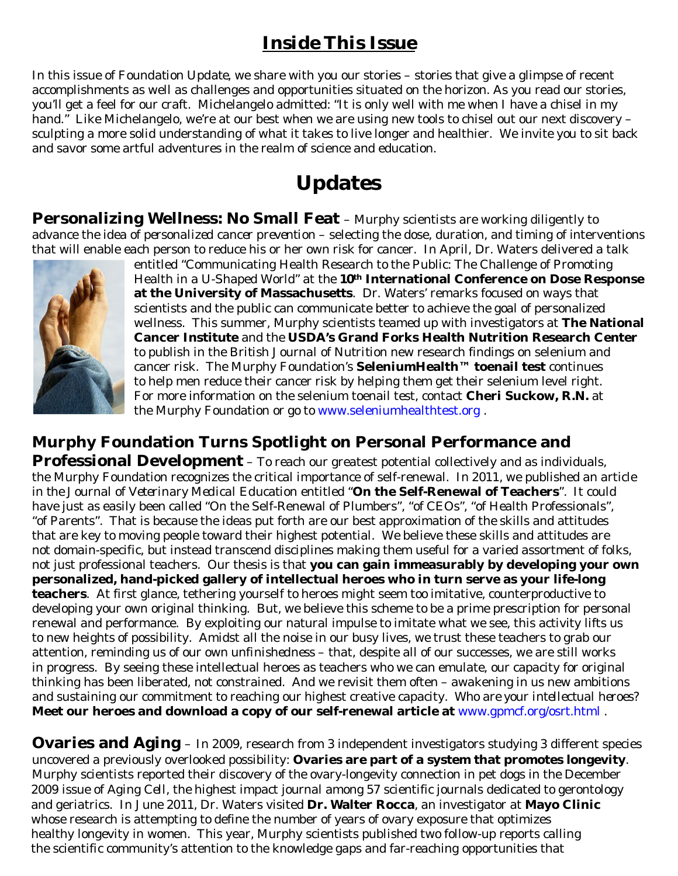## *Inside This Issue*

In this issue of *Foundation Update*, we share with you our stories – stories that give a glimpse of recent accomplishments as well as challenges and opportunities situated on the horizon. As you read our stories, you'll get a feel for our craft. Michelangelo admitted: "It is only well with me when I have a chisel in my hand." Like Michelangelo, we're at our best when we are using new tools to chisel out our next discovery sculpting a more solid understanding of what it takes to live longer and healthier. We invite you to sit back and savor some artful adventures in the realm of science and education.

## **Updates**

**Personalizing Wellness: No Small Feat** – Murphy scientists are working diligently to advance the idea of *personalized cancer prevention* – selecting the dose, duration, and timing of interventions that will enable each person to reduce his or her own risk for cancer. In April, Dr. Waters delivered a talk



entitled "Communicating Health Research to the Public: The Challenge of Promoting Health in a U-Shaped World" at the **10th International Conference on Dose Response at the University of Massachusetts**. Dr. Waters' remarks focused on ways that scientists and the public can communicate better to achieve the goal of personalized wellness. This summer, Murphy scientists teamed up with investigators at **The National Cancer Institute** and the **USDA's Grand Forks Health Nutrition Research Center** to publish in the *British Journal of Nutrition* new research findings on selenium and cancer risk. The Murphy Foundation's **SeleniumHealth™ toenail test** continues to help men reduce their cancer risk by helping them get their selenium level right. For more information on the selenium toenail test, contact **Cheri Suckow, R.N.** at the Murphy Foundation or go to www.seleniumhealthtest.org .

#### **Murphy Foundation Turns Spotlight on Personal Performance and**

**Professional Development** – To reach our greatest potential collectively and as individuals, the Murphy Foundation recognizes the critical importance of self-renewal. In 2011, we published an article in *the Journal of Veterinary Medical Education* entitled "**On the Self-Renewal of Teachers**". It could have just as easily been called "On the Self-Renewal of Plumbers", "of CEOs", "of Health Professionals", "of Parents". That is because the ideas put forth are our best approximation of the skills and attitudes that are key to moving people toward their highest potential. We believe these skills and attitudes are not domain-specific, but instead transcend disciplines making them useful for a varied assortment of folks, not just professional teachers. Our thesis is that **you can gain immeasurably by developing your own personalized, hand-picked gallery of intellectual heroes who in turn serve as your life-long teachers**. At first glance, tethering yourself to heroes might seem too imitative, counterproductive to developing your own original thinking. But, we believe this scheme to be a prime prescription for personal renewal and performance. By exploiting our natural impulse to imitate what we see, this activity lifts us to new heights of possibility. Amidst all the noise in our busy lives, we trust these teachers to grab our attention, reminding us of our own *unfinishedness* – that, despite all of our successes, we are still works in progress. By seeing these intellectual heroes as teachers who we can emulate, our capacity for original thinking has been liberated, not constrained. And we revisit them often – awakening in us new ambitions and sustaining our commitment to reaching our highest creative capacity. *Who are your intellectual heroes?*  **Meet our heroes and download a copy of our self-renewal article at** www.gpmcf.org/osrt.html .

**Ovaries and Aging** – In 2009, research from 3 independent investigators studying 3 different species uncovered a previously overlooked possibility: **Ovaries are part of a system that promotes longevity**. Murphy scientists reported their discovery of the ovary-longevity connection in pet dogs in the December 2009 issue of *Aging Cell*, the highest impact journal among 57 scientific journals dedicated to gerontology and geriatrics. In June 2011, Dr. Waters visited **Dr. Walter Rocca**, an investigator at **Mayo Clinic** whose research is attempting to define the number of years of ovary exposure that optimizes healthy longevity in women. This year, Murphy scientists published two follow-up reports calling the scientific community's attention to the knowledge gaps and far-reaching opportunities that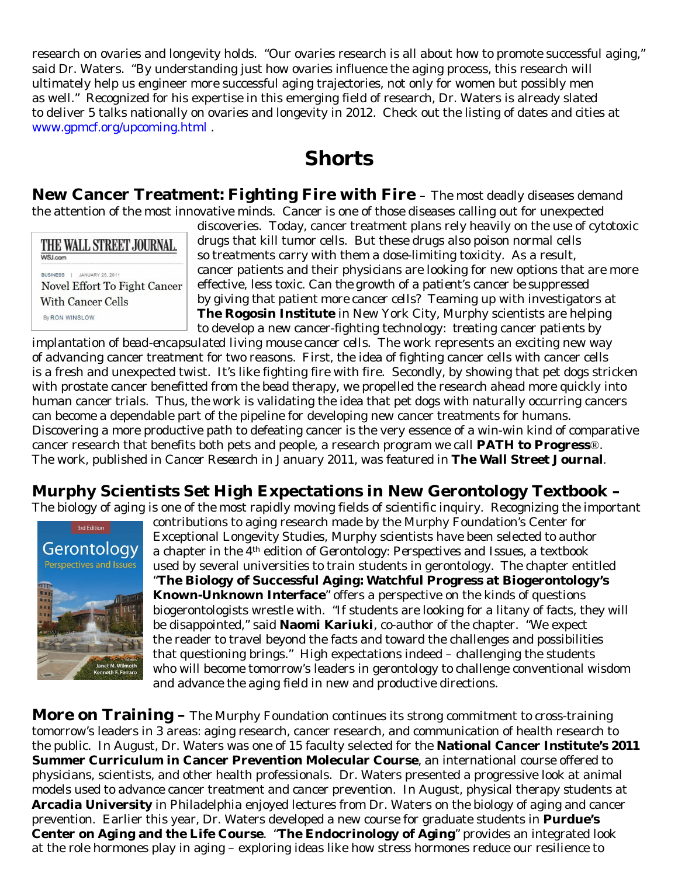research on ovaries and longevity holds. "Our ovaries research is all about how to promote successful aging," said Dr. Waters. "By understanding just how ovaries influence the aging process, this research will ultimately help us engineer more successful aging trajectories, not only for women but possibly men as well." Recognized for his expertise in this emerging field of research, Dr. Waters is already slated to deliver 5 talks nationally on ovaries and longevity in 2012. Check out the listing of dates and cities at www.gpmcf.org/upcoming.html .

### **Shorts**

**New Cancer Treatment: Fighting Fire with Fire** – The most deadly diseases demand the attention of the most innovative minds. Cancer is one of those diseases calling out for unexpected

| THE WALL STREET JOURNAL.     |
|------------------------------|
| <b>WSI.com</b>               |
| BUSINESS   JANUARY 25, 2011  |
| Novel Effort To Fight Cancer |
| With Cancer Cells            |
| By RON WINSLOW               |

discoveries. Today, cancer treatment plans rely heavily on the use of cytotoxic drugs that kill tumor cells. But these drugs also poison normal cells so treatments carry with them a dose-limiting toxicity. As a result, cancer patients and their physicians are looking for new options that are more effective, less toxic. *Can the growth of a patient's cancer be suppressed by giving that patient more cancer cells?* Teaming up with investigators at **The Rogosin Institute** in New York City, Murphy scientists are helping to develop a new cancer-fighting technology*: treating cancer patients by* 

*implantation of bead-encapsulated living mouse cancer cells*. The work represents an exciting new way of advancing cancer treatment for two reasons. First, the idea of fighting cancer cells with cancer cells is a fresh and unexpected twist. It's like fighting fire with fire. Secondly, by showing that pet dogs stricken with prostate cancer benefitted from the bead therapy, we propelled the research ahead more quickly into human cancer trials. Thus, the work is validating the idea that pet dogs with naturally occurring cancers can become a dependable part of the pipeline for developing new cancer treatments for humans. Discovering a more productive path to defeating cancer is the very essence of a win-win kind of comparative cancer research that benefits both pets and people, a research program we call **PATH to Progress**®. The work, published in *Cancer Research* in January 2011, was featured in **The Wall Street Journal**.

### **Murphy Scientists Set High Expectations in New Gerontology Textbook –**

The biology of aging is one of the most rapidly moving fields of scientific inquiry. Recognizing the important



contributions to aging research made by the Murphy Foundation's Center for Exceptional Longevity Studies, Murphy scientists have been selected to author a chapter in the 4th edition of *Gerontology: Perspectives and Issues*, a textbook used by several universities to train students in gerontology. The chapter entitled "**The Biology of Successful Aging: Watchful Progress at Biogerontology's Known-Unknown Interface**" offers a perspective on the kinds of questions biogerontologists wrestle with. "If students are looking for a litany of facts, they will be disappointed," said **Naomi Kariuki**, co-author of the chapter. "We expect the reader to travel beyond the facts and toward the challenges and possibilities that questioning brings." High expectations indeed – challenging the students who will become tomorrow's leaders in gerontology to challenge conventional wisdom and advance the aging field in new and productive directions.

**More on Training -** The Murphy Foundation continues its strong commitment to cross-training tomorrow's leaders in 3 areas: aging research, cancer research, and communication of health research to the public. In August, Dr. Waters was one of 15 faculty selected for the **National Cancer Institute's 2011 Summer Curriculum in Cancer Prevention Molecular Course**, an international course offered to physicians, scientists, and other health professionals. Dr. Waters presented a progressive look at animal models used to advance cancer treatment and cancer prevention. In August, physical therapy students at **Arcadia University** in Philadelphia enjoyed lectures from Dr. Waters on the biology of aging and cancer prevention. Earlier this year, Dr. Waters developed a new course for graduate students in **Purdue's Center on Aging and the Life Course**. "**The Endocrinology of Aging**" provides an integrated look at the role hormones play in aging – exploring ideas like how stress hormones reduce our resilience to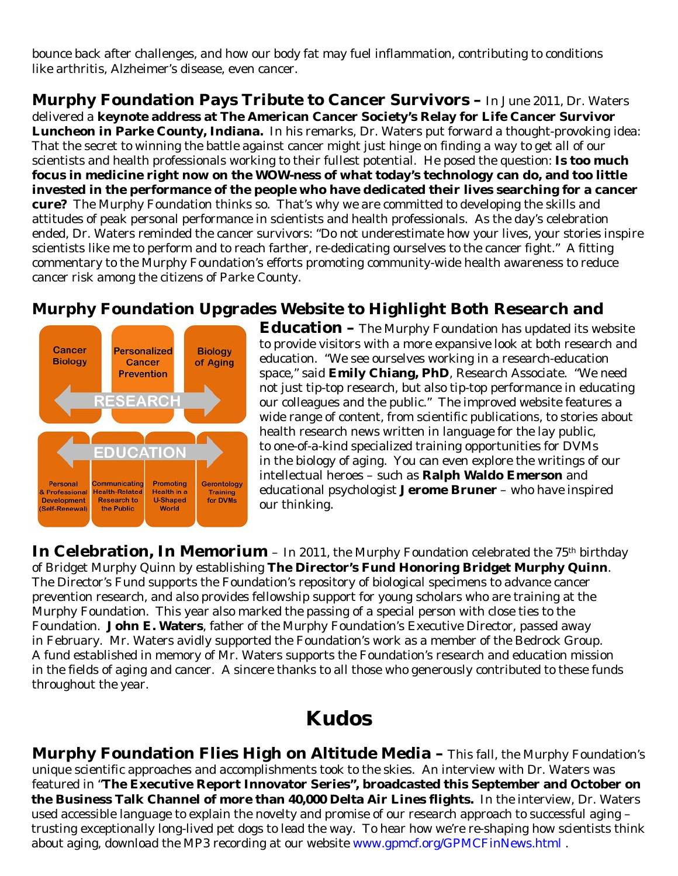bounce back after challenges, and how our body fat may fuel inflammation, contributing to conditions like arthritis, Alzheimer's disease, even cancer.

**Murphy Foundation Pays Tribute to Cancer Survivors –** In June 2011, Dr. Waters delivered a **keynote address at The American Cancer Society's Relay for Life Cancer Survivor Luncheon in Parke County, Indiana.** In his remarks, Dr. Waters put forward a thought-provoking idea: That the secret to winning the battle against cancer might just hinge on finding a way to get all of our scientists and health professionals working to their fullest potential. He posed the question: **Is too much focus in medicine right now on the WOW-ness of what today's technology can do, and too little invested in the performance of the people who have dedicated their lives searching for a cancer cure?** The Murphy Foundation thinks so. That's why we are committed to developing the skills and attitudes of peak personal performance in scientists and health professionals. As the day's celebration ended, Dr. Waters reminded the cancer survivors: "Do not underestimate how your lives, your stories inspire scientists like me to perform and to reach farther, re-dedicating ourselves to the cancer fight." A fitting commentary to the Murphy Foundation's efforts promoting community-wide health awareness to reduce cancer risk among the citizens of Parke County.

#### **Murphy Foundation Upgrades Website to Highlight Both Research and**



**Education –** The Murphy Foundation has updated its website to provide visitors with a more expansive look at both research and education. "We see ourselves working in a research-education space," said **Emily Chiang, PhD**, Research Associate. "We need not just tip-top research, but also tip-top performance in educating our colleagues and the public." The improved website features a wide range of content, from scientific publications, to stories about health research news written in language for the lay public, to one-of-a-kind specialized training opportunities for DVMs in the biology of aging. You can even explore the writings of our intellectual heroes – such as **Ralph Waldo Emerson** and educational psychologist **Jerome Bruner** – who have inspired our thinking.

**In Celebration, In Memorium** - In 2011, the Murphy Foundation celebrated the 75<sup>th</sup> birthday of Bridget Murphy Quinn by establishing **The Director's Fund Honoring Bridget Murphy Quinn**. The Director's Fund supports the Foundation's repository of biological specimens to advance cancer prevention research, and also provides fellowship support for young scholars who are training at the Murphy Foundation. This year also marked the passing of a special person with close ties to the Foundation. **John E. Waters**, father of the Murphy Foundation's Executive Director, passed away in February. Mr. Waters avidly supported the Foundation's work as a member of the Bedrock Group. A fund established in memory of Mr. Waters supports the Foundation's research and education mission in the fields of aging and cancer. A sincere thanks to all those who generously contributed to these funds throughout the year.

## **Kudos**

**Murphy Foundation Flies High on Altitude Media –** This fall, the Murphy Foundation's unique scientific approaches and accomplishments took to the skies. An interview with Dr. Waters was featured in "**The Executive Report Innovator Series", broadcasted this September and October on the Business Talk Channel of more than 40,000 Delta Air Lines flights.** In the interview, Dr. Waters used accessible language to explain the novelty and promise of our research approach to successful aging – trusting exceptionally long-lived pet dogs to lead the way. To hear how we're re-shaping how scientists think about aging, download the MP3 recording at our website www.gpmcf.org/GPMCFinNews.html .